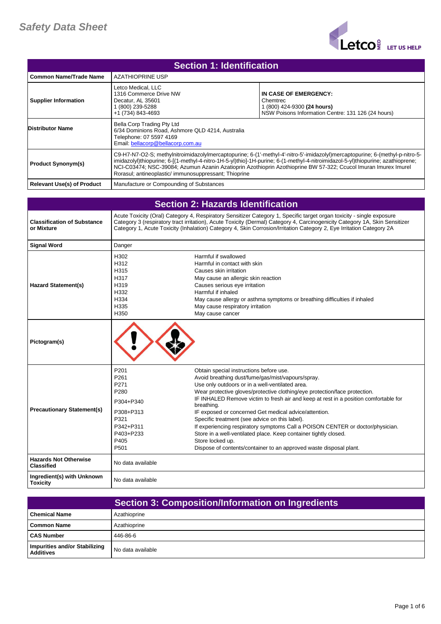

| <b>Section 1: Identification</b>  |                                                                                                                                                |                                                                                                                                                                                                                                                                                                                                                                                    |
|-----------------------------------|------------------------------------------------------------------------------------------------------------------------------------------------|------------------------------------------------------------------------------------------------------------------------------------------------------------------------------------------------------------------------------------------------------------------------------------------------------------------------------------------------------------------------------------|
| <b>Common Name/Trade Name</b>     | <b>AZATHIOPRINE USP</b>                                                                                                                        |                                                                                                                                                                                                                                                                                                                                                                                    |
| <b>Supplier Information</b>       | Letco Medical, LLC<br>1316 Commerce Drive NW<br>Decatur. AL 35601<br>1 (800) 239-5288<br>+1 (734) 843-4693                                     | IN CASE OF EMERGENCY:<br>Chemtrec<br>1 (800) 424-9300 (24 hours)<br>NSW Poisons Information Centre: 131 126 (24 hours)                                                                                                                                                                                                                                                             |
| <b>Distributor Name</b>           | Bella Corp Trading Pty Ltd<br>6/34 Dominions Road, Ashmore QLD 4214, Australia<br>Telephone: 07 5597 4169<br>Email: bellacorp@bellacorp.com.au |                                                                                                                                                                                                                                                                                                                                                                                    |
| <b>Product Synonym(s)</b>         | Rorasul; antineoplastic/immunosuppressant; Thioprine                                                                                           | C9-H7-N7-O2-S; methylnitroimidazolylmercaptopurine; 6-(1'-methyl-4'-nitro-5'-imidazolyl)mercaptopurine; 6-(methyl-p-nitro-5-<br>imidazolyl)thiopurine; 6-[(1-methyl-4-nitro-1H-5-yl)thio]-1H-purine; 6-(1-methyl-4-nitroimidazol-5-yl)thiopurine; azathioprene;<br>NCI-C03474; NSC-39084; Azumun Azanin Azatioprin Azothioprin Azothioprine BW 57-322; Ccucol Imuran Imurex Imurel |
| <b>Relevant Use(s) of Product</b> | Manufacture or Compounding of Substances                                                                                                       |                                                                                                                                                                                                                                                                                                                                                                                    |

| <b>Section 2: Hazards Identification</b>          |                                                                                                          |                                                                                                                                                                                                                                                                                                                                                                                                                                                                                                                                                                                                                                                                                                |
|---------------------------------------------------|----------------------------------------------------------------------------------------------------------|------------------------------------------------------------------------------------------------------------------------------------------------------------------------------------------------------------------------------------------------------------------------------------------------------------------------------------------------------------------------------------------------------------------------------------------------------------------------------------------------------------------------------------------------------------------------------------------------------------------------------------------------------------------------------------------------|
| <b>Classification of Substance</b><br>or Mixture  |                                                                                                          | Acute Toxicity (Oral) Category 4, Respiratory Sensitizer Category 1, Specific target organ toxicity - single exposure<br>Category 3 (respiratory tract irritation), Acute Toxicity (Dermal) Category 4, Carcinogenicity Category 1A, Skin Sensitizer<br>Category 1, Acute Toxicity (Inhalation) Category 4, Skin Corrosion/Irritation Category 2, Eye Irritation Category 2A                                                                                                                                                                                                                                                                                                                   |
| <b>Signal Word</b>                                | Danger                                                                                                   |                                                                                                                                                                                                                                                                                                                                                                                                                                                                                                                                                                                                                                                                                                |
| <b>Hazard Statement(s)</b>                        | H302<br>H312<br>H315<br>H317<br>H319<br>H332<br>H334<br>H335<br>H350                                     | Harmful if swallowed<br>Harmful in contact with skin<br>Causes skin irritation<br>May cause an allergic skin reaction<br>Causes serious eye irritation<br>Harmful if inhaled<br>May cause allergy or asthma symptoms or breathing difficulties if inhaled<br>May cause respiratory irritation<br>May cause cancer                                                                                                                                                                                                                                                                                                                                                                              |
| Pictogram(s)                                      |                                                                                                          |                                                                                                                                                                                                                                                                                                                                                                                                                                                                                                                                                                                                                                                                                                |
| <b>Precautionary Statement(s)</b>                 | P201<br>P261<br>P271<br>P280<br>P304+P340<br>P308+P313<br>P321<br>P342+P311<br>P403+P233<br>P405<br>P501 | Obtain special instructions before use.<br>Avoid breathing dust/fume/gas/mist/vapours/spray.<br>Use only outdoors or in a well-ventilated area.<br>Wear protective gloves/protective clothing/eye protection/face protection.<br>IF INHALED Remove victim to fresh air and keep at rest in a position comfortable for<br>breathing.<br>IF exposed or concerned Get medical advice/attention.<br>Specific treatment (see advice on this label).<br>If experiencing respiratory symptoms Call a POISON CENTER or doctor/physician.<br>Store in a well-ventilated place. Keep container tightly closed.<br>Store locked up.<br>Dispose of contents/container to an approved waste disposal plant. |
| <b>Hazards Not Otherwise</b><br><b>Classified</b> | No data available                                                                                        |                                                                                                                                                                                                                                                                                                                                                                                                                                                                                                                                                                                                                                                                                                |
| Ingredient(s) with Unknown<br><b>Toxicity</b>     | No data available                                                                                        |                                                                                                                                                                                                                                                                                                                                                                                                                                                                                                                                                                                                                                                                                                |

|                                                   | Section 3: Composition/Information on Ingredients |
|---------------------------------------------------|---------------------------------------------------|
| <b>Chemical Name</b>                              | Azathioprine                                      |
| Common Name                                       | Azathioprine                                      |
| <b>CAS Number</b>                                 | 446-86-6                                          |
| Impurities and/or Stabilizing<br><b>Additives</b> | No data available                                 |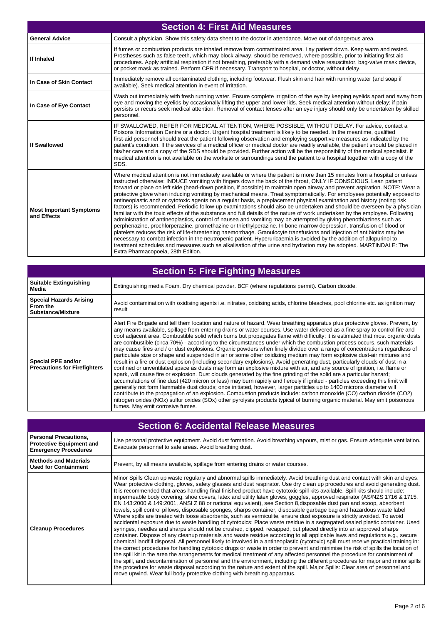| <b>Section 4: First Aid Measures</b>          |                                                                                                                                                                                                                                                                                                                                                                                                                                                                                                                                                                                                                                                                                                                                                                                                                                                                                                                                                                                                                                                                                                                                                                                                                                                                                                                                                                                                                                                                                                                                                                   |
|-----------------------------------------------|-------------------------------------------------------------------------------------------------------------------------------------------------------------------------------------------------------------------------------------------------------------------------------------------------------------------------------------------------------------------------------------------------------------------------------------------------------------------------------------------------------------------------------------------------------------------------------------------------------------------------------------------------------------------------------------------------------------------------------------------------------------------------------------------------------------------------------------------------------------------------------------------------------------------------------------------------------------------------------------------------------------------------------------------------------------------------------------------------------------------------------------------------------------------------------------------------------------------------------------------------------------------------------------------------------------------------------------------------------------------------------------------------------------------------------------------------------------------------------------------------------------------------------------------------------------------|
| <b>General Advice</b>                         | Consult a physician. Show this safety data sheet to the doctor in attendance. Move out of dangerous area.                                                                                                                                                                                                                                                                                                                                                                                                                                                                                                                                                                                                                                                                                                                                                                                                                                                                                                                                                                                                                                                                                                                                                                                                                                                                                                                                                                                                                                                         |
| If Inhaled                                    | If fumes or combustion products are inhaled remove from contaminated area. Lay patient down. Keep warm and rested.<br>Prostheses such as false teeth, which may block airway, should be removed, where possible, prior to initiating first aid<br>procedures. Apply artificial respiration if not breathing, preferably with a demand valve resuscitator, bag-valve mask device,<br>or pocket mask as trained. Perform CPR if necessary. Transport to hospital, or doctor, without delay.                                                                                                                                                                                                                                                                                                                                                                                                                                                                                                                                                                                                                                                                                                                                                                                                                                                                                                                                                                                                                                                                         |
| In Case of Skin Contact                       | Immediately remove all contaminated clothing, including footwear. Flush skin and hair with running water (and soap if<br>available). Seek medical attention in event of irritation.                                                                                                                                                                                                                                                                                                                                                                                                                                                                                                                                                                                                                                                                                                                                                                                                                                                                                                                                                                                                                                                                                                                                                                                                                                                                                                                                                                               |
| In Case of Eye Contact                        | Wash out immediately with fresh running water. Ensure complete irrigation of the eye by keeping eyelids apart and away from<br>eye and moving the eyelids by occasionally lifting the upper and lower lids. Seek medical attention without delay; if pain<br>persists or recurs seek medical attention. Removal of contact lenses after an eye injury should only be undertaken by skilled<br>personnel.                                                                                                                                                                                                                                                                                                                                                                                                                                                                                                                                                                                                                                                                                                                                                                                                                                                                                                                                                                                                                                                                                                                                                          |
| <b>If Swallowed</b>                           | IF SWALLOWED, REFER FOR MEDICAL ATTENTION, WHERE POSSIBLE, WITHOUT DELAY. For advice, contact a<br>Poisons Information Centre or a doctor. Urgent hospital treatment is likely to be needed. In the meantime, qualified<br>first-aid personnel should treat the patient following observation and employing supportive measures as indicated by the<br>patient's condition. If the services of a medical officer or medical doctor are readily available, the patient should be placed in<br>his/her care and a copy of the SDS should be provided. Further action will be the responsibility of the medical specialist. If<br>medical attention is not available on the worksite or surroundings send the patient to a hospital together with a copy of the<br>SDS.                                                                                                                                                                                                                                                                                                                                                                                                                                                                                                                                                                                                                                                                                                                                                                                              |
| <b>Most Important Symptoms</b><br>and Effects | Where medical attention is not immediately available or where the patient is more than 15 minutes from a hospital or unless<br>instructed otherwise: INDUCE vomiting with fingers down the back of the throat, ONLY IF CONSCIOUS. Lean patient<br>forward or place on left side (head-down position, if possible) to maintain open airway and prevent aspiration. NOTE: Wear a<br>protective glove when inducing vomiting by mechanical means. Treat symptomatically. For employees potentially exposed to<br>antineoplastic and/ or cytotoxic agents on a regular basis, a preplacement physical examination and history (noting risk<br>factors) is recommended. Periodic follow-up examinations should also be undertaken and should be overseen by a physician<br>familiar with the toxic effects of the substance and full details of the nature of work undertaken by the employee. Following<br>administration of antineoplastics, control of nausea and vomiting may be attempted by giving phenothiazines such as<br>perphenazine, prochlorperazine, promethazine or thiethylperazine. In bone-marrow depression, transfusion of blood or<br>platelets reduces the risk of life-threatening haemorrhage. Granulocyte transfusions and injection of antibiotics may be<br>necessary to combat infection in the neutropenic patient. Hyperuricaemia is avoided by the addition of allopurinol to<br>treatment schedules and measures such as alkalisation of the urine and hydration may be adopted. MARTINDALE: The<br>Extra Pharmacopoeia, 28th Edition. |

| <b>Section 5: Fire Fighting Measures</b>                               |                                                                                                                                                                                                                                                                                                                                                                                                                                                                                                                                                                                                                                                                                                                                                                                                                                                                                                                                                                                                                                                                                                                                                                                                                                                                                                                                                                                                                                                                                                                                                                                                                                                                                                                              |
|------------------------------------------------------------------------|------------------------------------------------------------------------------------------------------------------------------------------------------------------------------------------------------------------------------------------------------------------------------------------------------------------------------------------------------------------------------------------------------------------------------------------------------------------------------------------------------------------------------------------------------------------------------------------------------------------------------------------------------------------------------------------------------------------------------------------------------------------------------------------------------------------------------------------------------------------------------------------------------------------------------------------------------------------------------------------------------------------------------------------------------------------------------------------------------------------------------------------------------------------------------------------------------------------------------------------------------------------------------------------------------------------------------------------------------------------------------------------------------------------------------------------------------------------------------------------------------------------------------------------------------------------------------------------------------------------------------------------------------------------------------------------------------------------------------|
| <b>Suitable Extinguishing</b><br>Media                                 | Extinguishing media Foam. Dry chemical powder. BCF (where regulations permit). Carbon dioxide.                                                                                                                                                                                                                                                                                                                                                                                                                                                                                                                                                                                                                                                                                                                                                                                                                                                                                                                                                                                                                                                                                                                                                                                                                                                                                                                                                                                                                                                                                                                                                                                                                               |
| <b>Special Hazards Arising</b><br>From the<br><b>Substance/Mixture</b> | Avoid contamination with oxidising agents i.e. nitrates, oxidising acids, chlorine bleaches, pool chlorine etc. as ignition may<br>result                                                                                                                                                                                                                                                                                                                                                                                                                                                                                                                                                                                                                                                                                                                                                                                                                                                                                                                                                                                                                                                                                                                                                                                                                                                                                                                                                                                                                                                                                                                                                                                    |
| Special PPE and/or<br><b>Precautions for Firefighters</b>              | Alert Fire Brigade and tell them location and nature of hazard. Wear breathing apparatus plus protective gloves. Prevent, by<br>any means available, spillage from entering drains or water courses. Use water delivered as a fine spray to control fire and<br>cool adjacent area. Combustible solid which burns but propagates flame with difficulty; it is estimated that most organic dusts<br>are combustible (circa 70%) - according to the circumstances under which the combustion process occurs, such materials<br>may cause fires and / or dust explosions. Organic powders when finely divided over a range of concentrations regardless of<br>particulate size or shape and suspended in air or some other oxidizing medium may form explosive dust-air mixtures and<br>result in a fire or dust explosion (including secondary explosions). Avoid generating dust, particularly clouds of dust in a<br>confined or unventilated space as dusts may form an explosive mixture with air, and any source of ignition, i.e. flame or<br>spark, will cause fire or explosion. Dust clouds generated by the fine grinding of the solid are a particular hazard;<br>accumulations of fine dust (420 micron or less) may burn rapidly and fiercely if ignited - particles exceeding this limit will<br>generally not form flammable dust clouds; once initiated, however, larger particles up to 1400 microns diameter will<br>contribute to the propagation of an explosion. Combustion products include: carbon monoxide (CO) carbon dioxide (CO2)<br>nitrogen oxides (NOx) sulfur oxides (SOx) other pyrolysis products typical of burning organic material. May emit poisonous<br>fumes. May emit corrosive fumes. |

| <b>Section 6: Accidental Release Measures</b>                                                  |                                                                                                                                                                                                                                                                                                                                                                                                                                                                                                                                                                                                                                                                                                                                                                                                                                                                                                                                                                                                                                                                                                                                                                                                                                                                                                                                                                                                                                                                                                                                                                                                                                                                                                                                                                                                                                                                                                                                                                                                                                                   |
|------------------------------------------------------------------------------------------------|---------------------------------------------------------------------------------------------------------------------------------------------------------------------------------------------------------------------------------------------------------------------------------------------------------------------------------------------------------------------------------------------------------------------------------------------------------------------------------------------------------------------------------------------------------------------------------------------------------------------------------------------------------------------------------------------------------------------------------------------------------------------------------------------------------------------------------------------------------------------------------------------------------------------------------------------------------------------------------------------------------------------------------------------------------------------------------------------------------------------------------------------------------------------------------------------------------------------------------------------------------------------------------------------------------------------------------------------------------------------------------------------------------------------------------------------------------------------------------------------------------------------------------------------------------------------------------------------------------------------------------------------------------------------------------------------------------------------------------------------------------------------------------------------------------------------------------------------------------------------------------------------------------------------------------------------------------------------------------------------------------------------------------------------------|
| <b>Personal Precautions,</b><br><b>Protective Equipment and</b><br><b>Emergency Procedures</b> | Use personal protective equipment. Avoid dust formation. Avoid breathing vapours, mist or gas. Ensure adequate ventilation.<br>Evacuate personnel to safe areas. Avoid breathing dust.                                                                                                                                                                                                                                                                                                                                                                                                                                                                                                                                                                                                                                                                                                                                                                                                                                                                                                                                                                                                                                                                                                                                                                                                                                                                                                                                                                                                                                                                                                                                                                                                                                                                                                                                                                                                                                                            |
| <b>Methods and Materials</b><br><b>Used for Containment</b>                                    | Prevent, by all means available, spillage from entering drains or water courses.                                                                                                                                                                                                                                                                                                                                                                                                                                                                                                                                                                                                                                                                                                                                                                                                                                                                                                                                                                                                                                                                                                                                                                                                                                                                                                                                                                                                                                                                                                                                                                                                                                                                                                                                                                                                                                                                                                                                                                  |
| <b>Cleanup Procedures</b>                                                                      | Minor Spills Clean up waste regularly and abnormal spills immediately. Avoid breathing dust and contact with skin and eyes.<br>Wear protective clothing, gloves, safety glasses and dust respirator. Use dry clean up procedures and avoid generating dust.<br>It is recommended that areas handling final finished product have cytotoxic spill kits available. Spill kits should include:<br>impermeable body covering, shoe covers, latex and utility latex gloves, goggles, approved respirator (AS/NZS 1716 & 1715,<br>EN 143:2000 & 149:2001, ANSI Z 88 or national equivalent), see Section 8, disposable dust pan and scoop, absorbent<br>towels, spill control pillows, disposable sponges, sharps container, disposable garbage bag and hazardous waste label<br>Where spills are treated with loose absorbents, such as vermiculite, ensure dust exposure is strictly avoided. To avoid<br>accidental exposure due to waste handling of cytotoxics: Place waste residue in a segregated sealed plastic container. Used<br>syringes, needles and sharps should not be crushed, clipped, recapped, but placed directly into an approved sharps<br>container. Dispose of any cleanup materials and waste residue according to all applicable laws and regulations e.g., secure<br>chemical landfill disposal. All personnel likely to involved in a antineoplastic (cytotoxic) spill must receive practical training in:<br>the correct procedures for handling cytotoxic drugs or waste in order to prevent and minimise the risk of spills the location of<br>the spill kit in the area the arrangements for medical treatment of any affected personnel the procedure for containment of<br>the spill, and decontamination of personnel and the environment, including the different procedures for major and minor spills<br>the procedure for waste disposal according to the nature and extent of the spill. Major Spills: Clear area of personnel and<br>move upwind. Wear full body protective clothing with breathing apparatus. |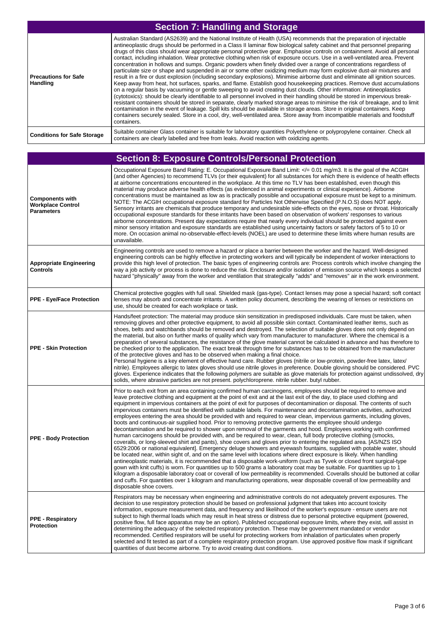| <b>Section 7: Handling and Storage</b>  |                                                                                                                                                                                                                                                                                                                                                                                                                                                                                                                                                                                                                                                                                                                                                                                                                                                                                                                                                                                                                                                                                                                                                                                                                                                                                                                                                                                                                                                                                                                                                                                                                                                                                                            |
|-----------------------------------------|------------------------------------------------------------------------------------------------------------------------------------------------------------------------------------------------------------------------------------------------------------------------------------------------------------------------------------------------------------------------------------------------------------------------------------------------------------------------------------------------------------------------------------------------------------------------------------------------------------------------------------------------------------------------------------------------------------------------------------------------------------------------------------------------------------------------------------------------------------------------------------------------------------------------------------------------------------------------------------------------------------------------------------------------------------------------------------------------------------------------------------------------------------------------------------------------------------------------------------------------------------------------------------------------------------------------------------------------------------------------------------------------------------------------------------------------------------------------------------------------------------------------------------------------------------------------------------------------------------------------------------------------------------------------------------------------------------|
| <b>Precautions for Safe</b><br>Handling | Australian Standard (AS2639) and the National Institute of Health (USA) recommends that the preparation of injectable<br>antineoplastic drugs should be performed in a Class II laminar flow biological safety cabinet and that personnel preparing<br>drugs of this class should wear appropriate personal protective gear. Emphasise controls on containment. Avoid all personal<br>contact, including inhalation. Wear protective clothing when risk of exposure occurs. Use in a well-ventilated area. Prevent<br>concentration in hollows and sumps. Organic powders when finely divided over a range of concentrations regardless of<br>particulate size or shape and suspended in air or some other oxidizing medium may form explosive dust-air mixtures and<br>result in a fire or dust explosion (including secondary explosions). Minimise airborne dust and eliminate all ignition sources.<br>Keep away from heat, hot surfaces, sparks, and flame. Establish good housekeeping practices. Remove dust accumulations<br>on a regular basis by vacuuming or gentle sweeping to avoid creating dust clouds. Other information: Antineoplastics<br>(cytotoxics): should be clearly identifiable to all personnel involved in their handling should be stored in impervious break-<br>resistant containers should be stored in separate, clearly marked storage areas to minimise the risk of breakage, and to limit<br>contamination in the event of leakage. Spill kits should be available in storage areas. Store in original containers. Keep<br>containers securely sealed. Store in a cool, dry, well-ventilated area. Store away from incompatible materials and foodstuff<br>containers. |
| <b>Conditions for Safe Storage</b>      | Suitable container Glass container is suitable for laboratory quantities Polyethylene or polypropylene container. Check all<br>containers are clearly labelled and free from leaks. Avoid reaction with oxidizing agents.                                                                                                                                                                                                                                                                                                                                                                                                                                                                                                                                                                                                                                                                                                                                                                                                                                                                                                                                                                                                                                                                                                                                                                                                                                                                                                                                                                                                                                                                                  |

|                                                                         | <b>Section 8: Exposure Controls/Personal Protection</b>                                                                                                                                                                                                                                                                                                                                                                                                                                                                                                                                                                                                                                                                                                                                                                                                                                                                                                                                                                                                                                                                                                                                                                                                                                                                                                                                                                                                                                                                                                                                                                                                                                                                                                                                                                                                                                                            |
|-------------------------------------------------------------------------|--------------------------------------------------------------------------------------------------------------------------------------------------------------------------------------------------------------------------------------------------------------------------------------------------------------------------------------------------------------------------------------------------------------------------------------------------------------------------------------------------------------------------------------------------------------------------------------------------------------------------------------------------------------------------------------------------------------------------------------------------------------------------------------------------------------------------------------------------------------------------------------------------------------------------------------------------------------------------------------------------------------------------------------------------------------------------------------------------------------------------------------------------------------------------------------------------------------------------------------------------------------------------------------------------------------------------------------------------------------------------------------------------------------------------------------------------------------------------------------------------------------------------------------------------------------------------------------------------------------------------------------------------------------------------------------------------------------------------------------------------------------------------------------------------------------------------------------------------------------------------------------------------------------------|
| <b>Components with</b><br><b>Workplace Control</b><br><b>Parameters</b> | Occupational Exposure Band Rating: E. Occupational Exposure Band Limit: = 0.01 mg/m3. It is the goal of the ACGIH<br (and other Agencies) to recommend TLVs (or their equivalent) for all substances for which there is evidence of health effects<br>at airborne concentrations encountered in the workplace. At this time no TLV has been established, even though this<br>material may produce adverse health effects (as evidenced in animal experiments or clinical experience). Airborne<br>concentrations must be maintained as low as is practically possible and occupational exposure must be kept to a minimum.<br>NOTE: The ACGIH occupational exposure standard for Particles Not Otherwise Specified (P.N.O.S) does NOT apply.<br>Sensory irritants are chemicals that produce temporary and undesirable side-effects on the eyes, nose or throat. Historically<br>occupational exposure standards for these irritants have been based on observation of workers' responses to various<br>airborne concentrations. Present day expectations require that nearly every individual should be protected against even<br>minor sensory irritation and exposure standards are established using uncertainty factors or safety factors of 5 to 10 or<br>more. On occasion animal no-observable-effect-levels (NOEL) are used to determine these limits where human results are<br>unavailable.                                                                                                                                                                                                                                                                                                                                                                                                                                                                                                             |
| <b>Appropriate Engineering</b><br>Controls                              | Engineering controls are used to remove a hazard or place a barrier between the worker and the hazard. Well-designed<br>engineering controls can be highly effective in protecting workers and will typically be independent of worker interactions to<br>provide this high level of protection. The basic types of engineering controls are: Process controls which involve changing the<br>way a job activity or process is done to reduce the risk. Enclosure and/or isolation of emission source which keeps a selected<br>hazard "physically" away from the worker and ventilation that strategically "adds" and "removes" air in the work environment.                                                                                                                                                                                                                                                                                                                                                                                                                                                                                                                                                                                                                                                                                                                                                                                                                                                                                                                                                                                                                                                                                                                                                                                                                                                       |
| <b>PPE - Eye/Face Protection</b>                                        | Chemical protective goggles with full seal. Shielded mask (gas-type). Contact lenses may pose a special hazard; soft contact<br>lenses may absorb and concentrate irritants. A written policy document, describing the wearing of lenses or restrictions on<br>use, should be created for each workplace or task.                                                                                                                                                                                                                                                                                                                                                                                                                                                                                                                                                                                                                                                                                                                                                                                                                                                                                                                                                                                                                                                                                                                                                                                                                                                                                                                                                                                                                                                                                                                                                                                                  |
| <b>PPE - Skin Protection</b>                                            | Hands/feet protection: The material may produce skin sensitization in predisposed individuals. Care must be taken, when<br>removing gloves and other protective equipment, to avoid all possible skin contact. Contaminated leather items, such as<br>shoes, belts and watchbands should be removed and destroyed. The selection of suitable gloves does not only depend on<br>the material, but also on further marks of quality which vary from manufacturer to manufacturer. Where the chemical is a<br>preparation of several substances, the resistance of the glove material cannot be calculated in advance and has therefore to<br>be checked prior to the application. The exact break through time for substances has to be obtained from the manufacturer<br>of the protective gloves and has to be observed when making a final choice.<br>Personal hygiene is a key element of effective hand care. Rubber gloves (nitrile or low-protein, powder-free latex, latex/<br>nitrile). Employees allergic to latex gloves should use nitrile gloves in preference. Double gloving should be considered. PVC<br>gloves. Experience indicates that the following polymers are suitable as glove materials for protection against undissolved, dry<br>solids, where abrasive particles are not present. polychloroprene. nitrile rubber. butyl rubber.                                                                                                                                                                                                                                                                                                                                                                                                                                                                                                                                                        |
| <b>PPE - Body Protection</b>                                            | Prior to each exit from an area containing confirmed human carcinogens, employees should be required to remove and<br>leave protective clothing and equipment at the point of exit and at the last exit of the day, to place used clothing and<br>equipment in impervious containers at the point of exit for purposes of decontamination or disposal. The contents of such<br>impervious containers must be identified with suitable labels. For maintenance and decontamination activities, authorized<br>employees entering the area should be provided with and required to wear clean, impervious garments, including gloves,<br>boots and continuous-air supplied hood. Prior to removing protective garments the employee should undergo<br>decontamination and be required to shower upon removal of the garments and hood. Employees working with confirmed<br>human carcinogens should be provided with, and be required to wear, clean, full body protective clothing (smocks,<br>coveralls, or long-sleeved shirt and pants), shoe covers and gloves prior to entering the regulated area. [AS/NZS ISO<br>6529:2006 or national equivalent]. Emergency deluge showers and eyewash fountains, supplied with potable water, should<br>be located near, within sight of, and on the same level with locations where direct exposure is likely. When handling<br>antineoplastic materials, it is recommended that a disposable work-uniform (such as Tyvek or closed front surgical-type<br>gown with knit cuffs) is worn. For quantities up to 500 grams a laboratory coat may be suitable. For quantities up to 1<br>kilogram a disposable laboratory coat or coverall of low permeability is recommended. Coveralls should be buttoned at collar<br>and cuffs. For quantities over 1 kilogram and manufacturing operations, wear disposable coverall of low permeability and<br>disposable shoe covers. |
| <b>PPE - Respiratory</b><br><b>Protection</b>                           | Respirators may be necessary when engineering and administrative controls do not adequately prevent exposures. The<br>decision to use respiratory protection should be based on professional judgment that takes into account toxicity<br>information, exposure measurement data, and frequency and likelihood of the worker's exposure - ensure users are not<br>subject to high thermal loads which may result in heat stress or distress due to personal protective equipment (powered,<br>positive flow, full face apparatus may be an option). Published occupational exposure limits, where they exist, will assist in<br>determining the adequacy of the selected respiratory protection. These may be government mandated or vendor<br>recommended. Certified respirators will be useful for protecting workers from inhalation of particulates when properly<br>selected and fit tested as part of a complete respiratory protection program. Use approved positive flow mask if significant<br>quantities of dust become airborne. Try to avoid creating dust conditions.                                                                                                                                                                                                                                                                                                                                                                                                                                                                                                                                                                                                                                                                                                                                                                                                                                |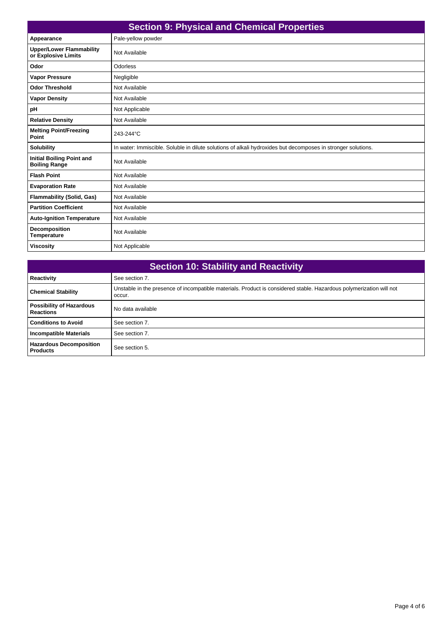| <b>Section 9: Physical and Chemical Properties</b>       |                                                                                                              |
|----------------------------------------------------------|--------------------------------------------------------------------------------------------------------------|
| Appearance                                               | Pale-yellow powder                                                                                           |
| <b>Upper/Lower Flammability</b><br>or Explosive Limits   | Not Available                                                                                                |
| Odor                                                     | Odorless                                                                                                     |
| <b>Vapor Pressure</b>                                    | Negligible                                                                                                   |
| <b>Odor Threshold</b>                                    | Not Available                                                                                                |
| <b>Vapor Density</b>                                     | Not Available                                                                                                |
| pH                                                       | Not Applicable                                                                                               |
| <b>Relative Density</b>                                  | Not Available                                                                                                |
| <b>Melting Point/Freezing</b><br>Point                   | 243-244°C                                                                                                    |
| <b>Solubility</b>                                        | In water: Immiscible. Soluble in dilute solutions of alkali hydroxides but decomposes in stronger solutions. |
| <b>Initial Boiling Point and</b><br><b>Boiling Range</b> | Not Available                                                                                                |
| <b>Flash Point</b>                                       | Not Available                                                                                                |
| <b>Evaporation Rate</b>                                  | Not Available                                                                                                |
| <b>Flammability (Solid, Gas)</b>                         | Not Available                                                                                                |
| <b>Partition Coefficient</b>                             | Not Available                                                                                                |
| <b>Auto-Ignition Temperature</b>                         | Not Available                                                                                                |
| <b>Decomposition</b><br><b>Temperature</b>               | Not Available                                                                                                |
| <b>Viscosity</b>                                         | Not Applicable                                                                                               |

| <b>Section 10: Stability and Reactivity</b>         |                                                                                                                               |
|-----------------------------------------------------|-------------------------------------------------------------------------------------------------------------------------------|
| <b>Reactivity</b>                                   | See section 7.                                                                                                                |
| <b>Chemical Stability</b>                           | Unstable in the presence of incompatible materials. Product is considered stable. Hazardous polymerization will not<br>occur. |
| <b>Possibility of Hazardous</b><br><b>Reactions</b> | No data available                                                                                                             |
| <b>Conditions to Avoid</b>                          | See section 7.                                                                                                                |
| <b>Incompatible Materials</b>                       | See section 7.                                                                                                                |
| <b>Hazardous Decomposition</b><br><b>Products</b>   | See section 5.                                                                                                                |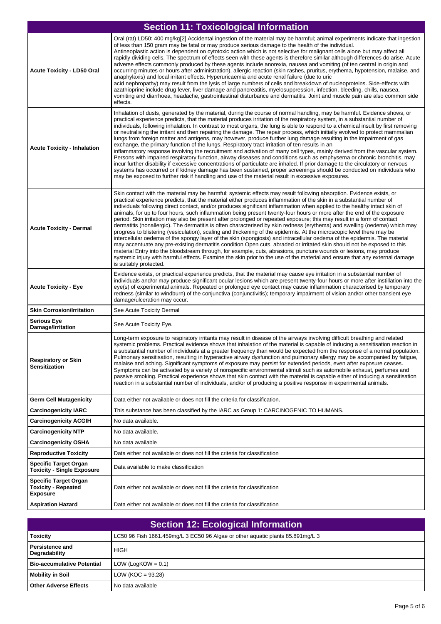| <b>Section 11: Toxicological Information</b>                                  |                                                                                                                                                                                                                                                                                                                                                                                                                                                                                                                                                                                                                                                                                                                                                                                                                                                                                                                                                                                                                                                                                                                                                                                                                                                                                                                                                                                                                             |
|-------------------------------------------------------------------------------|-----------------------------------------------------------------------------------------------------------------------------------------------------------------------------------------------------------------------------------------------------------------------------------------------------------------------------------------------------------------------------------------------------------------------------------------------------------------------------------------------------------------------------------------------------------------------------------------------------------------------------------------------------------------------------------------------------------------------------------------------------------------------------------------------------------------------------------------------------------------------------------------------------------------------------------------------------------------------------------------------------------------------------------------------------------------------------------------------------------------------------------------------------------------------------------------------------------------------------------------------------------------------------------------------------------------------------------------------------------------------------------------------------------------------------|
| <b>Acute Toxicity - LD50 Oral</b>                                             | Oral (rat) LD50: 400 mg/kg[2] Accidental ingestion of the material may be harmful; animal experiments indicate that ingestion<br>of less than 150 gram may be fatal or may produce serious damage to the health of the individual.<br>Antineoplastic action is dependent on cytotoxic action which is not selective for malignant cells alone but may affect all<br>rapidly dividing cells. The spectrum of effects seen with these agents is therefore similar although differences do arise. Acute<br>adverse effects commonly produced by these agents include anorexia, nausea and vomiting (of ten central in origin and<br>occurring minutes or hours after administration), allergic reaction (skin rashes, pruritus, erythema, hypotension, malaise, and<br>anaphylaxis) and local irritant effects. Hyperuricaemia and acute renal failure (due to uric<br>acid nephropathy) may result from the lysis of large numbers of cells and breakdown of nucleoproteins. Side-effects with<br>azathioprine include drug fever, liver damage and pancreatitis, myelosuppression, infection, bleeding, chills, nausea,<br>vomiting and diarrhoea, headache, gastrointestinal disturbance and dermatitis. Joint and muscle pain are also common side<br>effects.                                                                                                                                                             |
| <b>Acute Toxicity - Inhalation</b>                                            | Inhalation of dusts, generated by the material, during the course of normal handling, may be harmful. Evidence shows, or<br>practical experience predicts, that the material produces irritation of the respiratory system, in a substantial number of<br>individuals, following inhalation. In contrast to most organs, the lung is able to respond to a chemical insult by first removing<br>or neutralising the irritant and then repairing the damage. The repair process, which initially evolved to protect mammalian<br>lungs from foreign matter and antigens, may however, produce further lung damage resulting in the impairment of gas<br>exchange, the primary function of the lungs. Respiratory tract irritation of ten results in an<br>inflammatory response involving the recruitment and activation of many cell types, mainly derived from the vascular system.<br>Persons with impaired respiratory function, airway diseases and conditions such as emphysema or chronic bronchitis, may<br>incur further disability if excessive concentrations of particulate are inhaled. If prior damage to the circulatory or nervous<br>systems has occurred or if kidney damage has been sustained, proper screenings should be conducted on individuals who<br>may be exposed to further risk if handling and use of the material result in excessive exposures.                                              |
| <b>Acute Toxicity - Dermal</b>                                                | Skin contact with the material may be harmful; systemic effects may result following absorption. Evidence exists, or<br>practical experience predicts, that the material either produces inflammation of the skin in a substantial number of<br>individuals following direct contact, and/or produces significant inflammation when applied to the healthy intact skin of<br>animals, for up to four hours, such inflammation being present twenty-four hours or more after the end of the exposure<br>period. Skin irritation may also be present after prolonged or repeated exposure; this may result in a form of contact<br>dermatitis (nonallergic). The dermatitis is often characterised by skin redness (erythema) and swelling (oedema) which may<br>progress to blistering (vesiculation), scaling and thickening of the epidermis. At the microscopic level there may be<br>intercellular oedema of the spongy layer of the skin (spongiosis) and intracellular oedema of the epidermis. The material<br>may accentuate any pre-existing dermatitis condition Open cuts, abraded or irritated skin should not be exposed to this<br>material Entry into the bloodstream through, for example, cuts, abrasions, puncture wounds or lesions, may produce<br>systemic injury with harmful effects. Examine the skin prior to the use of the material and ensure that any external damage<br>is suitably protected. |
| <b>Acute Toxicity - Eye</b>                                                   | Evidence exists, or practical experience predicts, that the material may cause eye irritation in a substantial number of<br>individuals and/or may produce significant ocular lesions which are present twenty-four hours or more after instillation into the<br>eye(s) of experimental animals. Repeated or prolonged eye contact may cause inflammation characterised by temporary<br>redness (similar to windburn) of the conjunctiva (conjunctivitis); temporary impairment of vision and/or other transient eye<br>damage/ulceration may occur.                                                                                                                                                                                                                                                                                                                                                                                                                                                                                                                                                                                                                                                                                                                                                                                                                                                                        |
| <b>Skin Corrosion/Irritation</b>                                              | See Acute Toxicity Dermal                                                                                                                                                                                                                                                                                                                                                                                                                                                                                                                                                                                                                                                                                                                                                                                                                                                                                                                                                                                                                                                                                                                                                                                                                                                                                                                                                                                                   |
| <b>Serious Eye</b><br>Damage/Irritation                                       | See Acute Toxicity Eye.                                                                                                                                                                                                                                                                                                                                                                                                                                                                                                                                                                                                                                                                                                                                                                                                                                                                                                                                                                                                                                                                                                                                                                                                                                                                                                                                                                                                     |
| <b>Respiratory or Skin</b><br><b>Sensitization</b>                            | Long-term exposure to respiratory irritants may result in disease of the airways involving difficult breathing and related<br>systemic problems. Practical evidence shows that inhalation of the material is capable of inducing a sensitisation reaction in<br>a substantial number of individuals at a greater frequency than would be expected from the response of a normal population.<br>Pulmonary sensitisation, resulting in hyperactive airway dysfunction and pulmonary allergy may be accompanied by fatigue,<br>malaise and aching. Significant symptoms of exposure may persist for extended periods, even after exposure ceases.<br>Symptoms can be activated by a variety of nonspecific environmental stimuli such as automobile exhaust, perfumes and<br>passive smoking. Practical experience shows that skin contact with the material is capable either of inducing a sensitisation<br>reaction in a substantial number of individuals, and/or of producing a positive response in experimental animals.                                                                                                                                                                                                                                                                                                                                                                                                |
| <b>Germ Cell Mutagenicity</b>                                                 | Data either not available or does not fill the criteria for classification.                                                                                                                                                                                                                                                                                                                                                                                                                                                                                                                                                                                                                                                                                                                                                                                                                                                                                                                                                                                                                                                                                                                                                                                                                                                                                                                                                 |
| <b>Carcinogenicity IARC</b>                                                   | This substance has been classified by the IARC as Group 1: CARCINOGENIC TO HUMANS.                                                                                                                                                                                                                                                                                                                                                                                                                                                                                                                                                                                                                                                                                                                                                                                                                                                                                                                                                                                                                                                                                                                                                                                                                                                                                                                                          |
| <b>Carcinogenicity ACGIH</b>                                                  | No data available.                                                                                                                                                                                                                                                                                                                                                                                                                                                                                                                                                                                                                                                                                                                                                                                                                                                                                                                                                                                                                                                                                                                                                                                                                                                                                                                                                                                                          |
| <b>Carcinogenicity NTP</b>                                                    | No data available.                                                                                                                                                                                                                                                                                                                                                                                                                                                                                                                                                                                                                                                                                                                                                                                                                                                                                                                                                                                                                                                                                                                                                                                                                                                                                                                                                                                                          |
| <b>Carcinogenicity OSHA</b>                                                   | No data available                                                                                                                                                                                                                                                                                                                                                                                                                                                                                                                                                                                                                                                                                                                                                                                                                                                                                                                                                                                                                                                                                                                                                                                                                                                                                                                                                                                                           |
| <b>Reproductive Toxicity</b>                                                  | Data either not available or does not fill the criteria for classification                                                                                                                                                                                                                                                                                                                                                                                                                                                                                                                                                                                                                                                                                                                                                                                                                                                                                                                                                                                                                                                                                                                                                                                                                                                                                                                                                  |
| <b>Specific Target Organ</b><br><b>Toxicity - Single Exposure</b>             | Data available to make classification                                                                                                                                                                                                                                                                                                                                                                                                                                                                                                                                                                                                                                                                                                                                                                                                                                                                                                                                                                                                                                                                                                                                                                                                                                                                                                                                                                                       |
| <b>Specific Target Organ</b><br><b>Toxicity - Repeated</b><br><b>Exposure</b> | Data either not available or does not fill the criteria for classification                                                                                                                                                                                                                                                                                                                                                                                                                                                                                                                                                                                                                                                                                                                                                                                                                                                                                                                                                                                                                                                                                                                                                                                                                                                                                                                                                  |
| <b>Aspiration Hazard</b>                                                      | Data either not available or does not fill the criteria for classification                                                                                                                                                                                                                                                                                                                                                                                                                                                                                                                                                                                                                                                                                                                                                                                                                                                                                                                                                                                                                                                                                                                                                                                                                                                                                                                                                  |

| <b>Section 12: Ecological Information</b> |                                                                                |
|-------------------------------------------|--------------------------------------------------------------------------------|
| <b>Toxicity</b>                           | LC50 96 Fish 1661.459mg/L 3 EC50 96 Algae or other aguatic plants 85.891mg/L 3 |
| <b>Persistence and</b><br>Degradability   | <b>HIGH</b>                                                                    |
| <b>Bio-accumulative Potential</b>         | LOW (LogKOW = $0.1$ )                                                          |
| <b>Mobility in Soil</b>                   | LOW ( $KOC = 93.28$ )                                                          |
| <b>Other Adverse Effects</b>              | No data available                                                              |